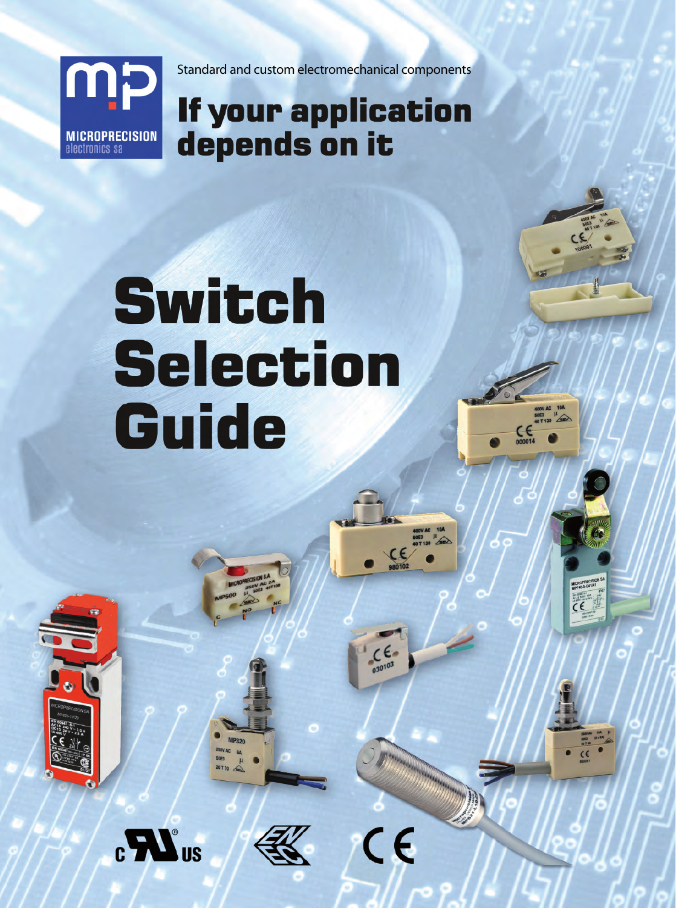

Standard and custom electromechanical components

## **If your application** depends on it

# Switch **Selection** Guide





 $_{c}LL$ <sup>o</sup>us

 $C \in$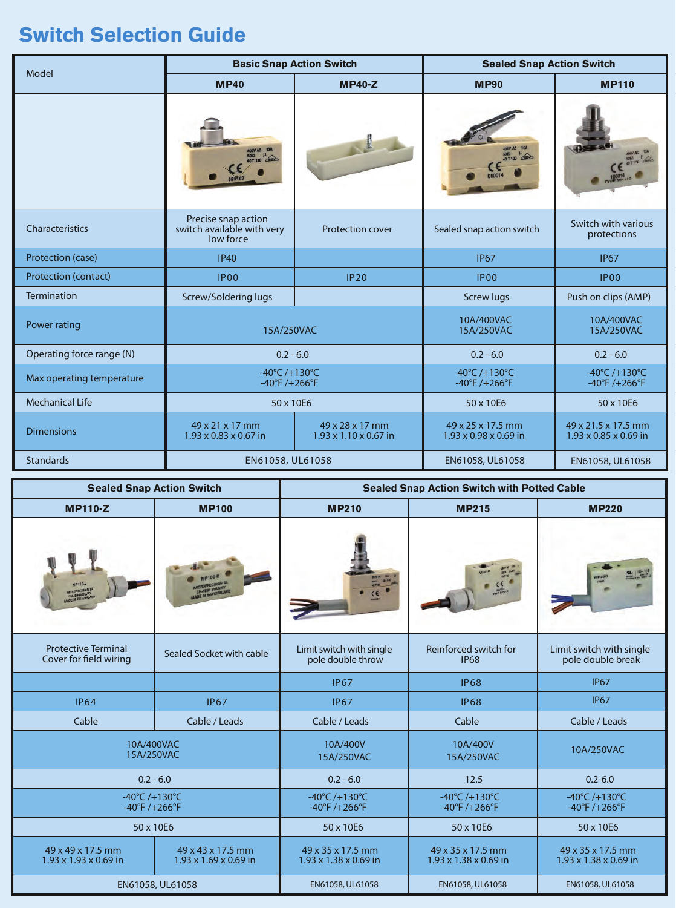### **Switch Selection Guide**

|                           |                                                                | <b>Basic Snap Action Switch</b>                      | <b>Sealed Snap Action Switch</b>                    |                                                                       |  |
|---------------------------|----------------------------------------------------------------|------------------------------------------------------|-----------------------------------------------------|-----------------------------------------------------------------------|--|
| Model                     | <b>MP40</b>                                                    | <b>MP40-Z</b>                                        | <b>MP90</b>                                         | <b>MP110</b>                                                          |  |
|                           |                                                                |                                                      |                                                     |                                                                       |  |
| Characteristics           | Precise snap action<br>switch available with very<br>low force | <b>Protection cover</b>                              | Sealed snap action switch                           | Switch with various<br>protections                                    |  |
| Protection (case)         | <b>IP40</b>                                                    |                                                      | <b>IP67</b>                                         | <b>IP67</b>                                                           |  |
| Protection (contact)      | <b>IP00</b>                                                    | IP20                                                 | <b>IP00</b>                                         | <b>IP00</b>                                                           |  |
| <b>Termination</b>        | Screw/Soldering lugs                                           |                                                      | <b>Screw lugs</b>                                   | Push on clips (AMP)                                                   |  |
| Power rating              | 15A/250VAC                                                     |                                                      | 10A/400VAC<br>15A/250VAC                            | 10A/400VAC<br>15A/250VAC                                              |  |
| Operating force range (N) | $0.2 - 6.0$                                                    |                                                      | $0.2 - 6.0$                                         | $0.2 - 6.0$                                                           |  |
| Max operating temperature | -40°C /+130°C<br>$-40^{\circ}F / + 266^{\circ}F$               |                                                      | -40°C /+130°C<br>$-40^{\circ}$ F /+266 $^{\circ}$ F | $-40^{\circ}$ C /+130 $^{\circ}$ C<br>$-40^{\circ}F / + 266^{\circ}F$ |  |
| <b>Mechanical Life</b>    | 50 x 10E6                                                      |                                                      | 50 x 10E6                                           | 50 x 10E6                                                             |  |
| <b>Dimensions</b>         | 49 x 21 x 17 mm<br>$1.93 \times 0.83 \times 0.67$ in           | 49 x 28 x 17 mm<br>$1.93 \times 1.10 \times 0.67$ in | 49 x 25 x 17.5 mm<br>1.93 x 0.98 x 0.69 in          | 49 x 21.5 x 17.5 mm<br>1.93 x 0.85 x 0.69 in                          |  |
| <b>Standards</b>          | EN61058, UL61058                                               |                                                      | EN61058, UL61058                                    | EN61058, UL61058                                                      |  |

| <b>Sealed Snap Action Switch</b>                                   |                                                        | <b>Sealed Snap Action Switch with Potted Cable</b>                       |                                                                       |                                                                       |  |
|--------------------------------------------------------------------|--------------------------------------------------------|--------------------------------------------------------------------------|-----------------------------------------------------------------------|-----------------------------------------------------------------------|--|
| <b>MP110-Z</b>                                                     | <b>MP100</b>                                           | <b>MP215</b><br><b>MP210</b>                                             |                                                                       | <b>MP220</b>                                                          |  |
|                                                                    |                                                        |                                                                          |                                                                       |                                                                       |  |
| <b>Protective Terminal</b><br>Cover for field wiring               | Sealed Socket with cable                               | Limit switch with single<br>pole double throw                            | Reinforced switch for<br><b>IP68</b>                                  | Limit switch with single<br>pole double break                         |  |
|                                                                    |                                                        | <b>IP67</b>                                                              | <b>IP68</b>                                                           | <b>IP67</b>                                                           |  |
| <b>IP64</b>                                                        | <b>IP67</b>                                            | <b>IP67</b>                                                              | <b>IP68</b>                                                           | <b>IP67</b>                                                           |  |
| Cable                                                              | Cable / Leads                                          | Cable / Leads                                                            | Cable                                                                 | Cable / Leads                                                         |  |
| 10A/400VAC<br>15A/250VAC                                           |                                                        | 10A/400V<br>15A/250VAC                                                   | 10A/400V<br>15A/250VAC                                                | 10A/250VAC                                                            |  |
| $0.2 - 6.0$                                                        |                                                        | $0.2 - 6.0$                                                              | 12.5                                                                  | $0.2 - 6.0$                                                           |  |
| $-40^{\circ}$ C /+130 $^{\circ}$ C<br>$-40^{\circ}F/+266^{\circ}F$ |                                                        | $-40^{\circ}$ C /+130 $^{\circ}$ C<br>$-40^{\circ}$ F /+266 $^{\circ}$ F | $-40^{\circ}$ C /+130 $^{\circ}$ C<br>$-40^{\circ}F / + 266^{\circ}F$ | $-40^{\circ}$ C /+130 $^{\circ}$ C<br>$-40^{\circ}F / + 266^{\circ}F$ |  |
| 50 x 10E6                                                          |                                                        | 50 x 10E6                                                                | 50 x 10E6                                                             | 50 x 10E6                                                             |  |
| 49 x 49 x 17.5 mm<br>1.93 x 1.93 x 0.69 in                         | 49 x 43 x 17.5 mm<br>$1.93 \times 1.69 \times 0.69$ in | 49 x 35 x 17.5 mm<br>$1.93 \times 1.38 \times 0.69$ in                   | 49 x 35 x 17.5 mm<br>$1.93 \times 1.38 \times 0.69$ in                | 49 x 35 x 17.5 mm<br>$1.93 \times 1.38 \times 0.69$ in                |  |
| EN61058, UL61058                                                   |                                                        | EN61058, UL61058                                                         | EN61058, UL61058                                                      | EN61058, UL61058                                                      |  |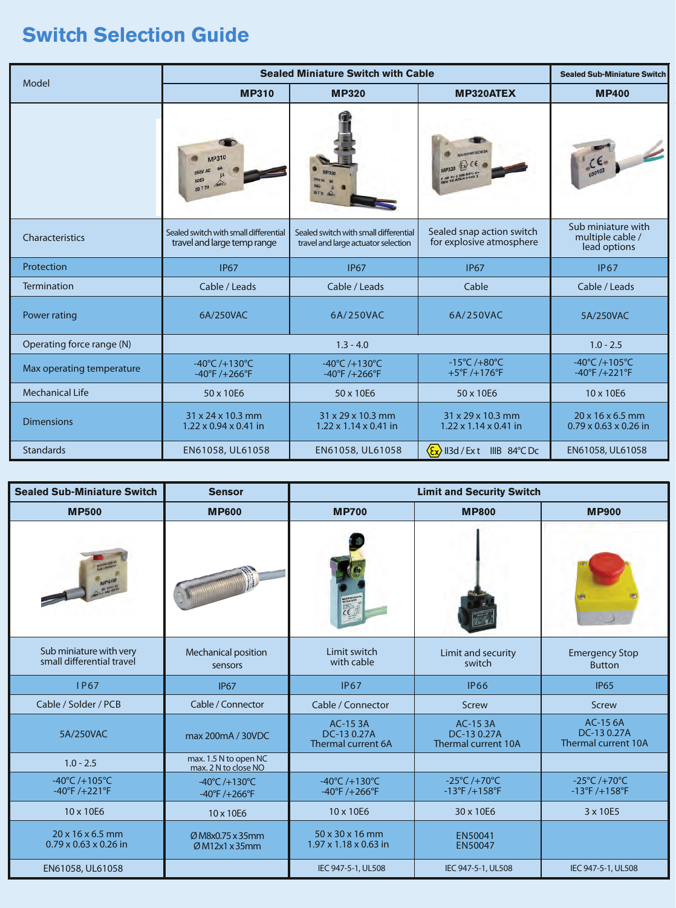### **Switch Selection Guide**

| Model                     | <b>Sealed Miniature Switch with Cable</b>                                |                                                                              |                                                                        | <b>Sealed Sub-Miniature Switch</b>                                       |  |
|---------------------------|--------------------------------------------------------------------------|------------------------------------------------------------------------------|------------------------------------------------------------------------|--------------------------------------------------------------------------|--|
|                           | <b>MP310</b>                                                             | <b>MP320</b>                                                                 | <b>MP320ATEX</b>                                                       | <b>MP400</b>                                                             |  |
|                           | AP310                                                                    |                                                                              | ISO EXTING AVE D                                                       | $C_{030103}^{C}$                                                         |  |
| Characteristics           | Sealed switch with small differential<br>travel and large temp range     | Sealed switch with small differential<br>travel and large actuator selection | Sealed snap action switch<br>for explosive atmosphere                  | Sub miniature with<br>multiple cable /<br>lead options                   |  |
| Protection                | <b>IP67</b>                                                              | <b>IP67</b>                                                                  | <b>IP67</b>                                                            | <b>IP67</b>                                                              |  |
| <b>Termination</b>        | Cable / Leads                                                            | Cable / Leads                                                                | Cable                                                                  | Cable / Leads                                                            |  |
| Power rating              | 6A/250VAC                                                                | 6A/250VAC                                                                    | 6A/250VAC                                                              | 5A/250VAC                                                                |  |
| Operating force range (N) | $1.3 - 4.0$                                                              |                                                                              |                                                                        | $1.0 - 2.5$                                                              |  |
| Max operating temperature | $-40^{\circ}$ C /+130 $^{\circ}$ C<br>$-40^{\circ}$ F /+266 $^{\circ}$ F | $-40^{\circ}$ C /+130 $^{\circ}$ C<br>$-40^{\circ}$ F /+266 $^{\circ}$ F     | $-15^{\circ}$ C /+80 $^{\circ}$ C<br>$+5^{\circ}$ F /+176 $^{\circ}$ F | $-40^{\circ}$ C /+105 $^{\circ}$ C<br>$-40^{\circ}$ F /+221 $^{\circ}$ F |  |
| <b>Mechanical Life</b>    | 50 x 10E6                                                                | 50 x 10E6                                                                    | 50 x 10E6                                                              | 10 x 10E6                                                                |  |
| <b>Dimensions</b>         | 31 x 24 x 10.3 mm<br>$1.22 \times 0.94 \times 0.41$ in                   | 31 x 29 x 10.3 mm<br>$1.22 \times 1.14 \times 0.41$ in                       | 31 x 29 x 10.3 mm<br>$1.22 \times 1.14 \times 0.41$ in                 | $20 \times 16 \times 6.5$ mm<br>$0.79 \times 0.63 \times 0.26$ in        |  |
| <b>Standards</b>          | EN61058, UL61058                                                         | EN61058, UL61058                                                             | $\langle \xi_{\mathbf{x}} \rangle$ II3d / Ext IIIB 84°C Dc             | EN61058, UL61058                                                         |  |

| <b>Sealed Sub-Miniature Switch</b>                                       | <b>Sensor</b>                                                     | <b>Limit and Security Switch</b>                                      |                                                                   |                                                             |  |
|--------------------------------------------------------------------------|-------------------------------------------------------------------|-----------------------------------------------------------------------|-------------------------------------------------------------------|-------------------------------------------------------------|--|
| <b>MP500</b>                                                             | <b>MP600</b>                                                      | <b>MP700</b>                                                          | <b>MP800</b>                                                      | <b>MP900</b>                                                |  |
|                                                                          |                                                                   |                                                                       |                                                                   |                                                             |  |
| Sub miniature with very<br>small differential travel                     | Mechanical position<br>sensors                                    | Limit switch<br>with cable                                            | Limit and security<br>switch                                      | <b>Emergency Stop</b><br><b>Button</b>                      |  |
| <b>IP67</b>                                                              | <b>IP67</b>                                                       | <b>IP67</b>                                                           | <b>IP66</b>                                                       | <b>IP65</b>                                                 |  |
| Cable / Solder / PCB                                                     | Cable / Connector                                                 | Cable / Connector                                                     | Screw                                                             | Screw                                                       |  |
| 5A/250VAC                                                                | max 200mA / 30VDC                                                 | AC-153A<br>DC-13 0.27A<br>Thermal current 6A                          | <b>AC-153A</b><br>DC-13 0.27A<br>Thermal current 10A              | <b>AC-15 6A</b><br>DC-13 0.27A<br>Thermal current 10A       |  |
| $1.0 - 2.5$                                                              | max. 1.5 N to open NC<br>max. 2 N to close NO                     |                                                                       |                                                                   |                                                             |  |
| $-40^{\circ}$ C /+105 $^{\circ}$ C<br>$-40^{\circ}$ F /+221 $^{\circ}$ F | $-40^{\circ}$ C/+130 $^{\circ}$ C<br>$-40^{\circ}F/+266^{\circ}F$ | $-40^{\circ}$ C /+130 $^{\circ}$ C<br>$-40^{\circ}F / + 266^{\circ}F$ | $-25^{\circ}$ C /+70 $^{\circ}$ C<br>$-13^{\circ}F/+158^{\circ}F$ | $-25^{\circ}C/+70^{\circ}C$<br>$-13^{\circ}F/+158^{\circ}F$ |  |
| 10 x 10E6                                                                | 10 x 10E6                                                         | 10 x 10E6                                                             | 30 x 10E6                                                         | 3 x 10E5                                                    |  |
| $20 \times 16 \times 6.5$ mm<br>$0.79 \times 0.63 \times 0.26$ in        | Ø M8x0.75 x 35mm<br>ØM12x1x35mm                                   | 50 x 30 x 16 mm<br>$1.97 \times 1.18 \times 0.63$ in                  | EN50041<br><b>EN50047</b>                                         |                                                             |  |
| EN61058, UL61058                                                         |                                                                   | IEC 947-5-1, UL508                                                    | IEC 947-5-1, UL508                                                | IEC 947-5-1, UL508                                          |  |